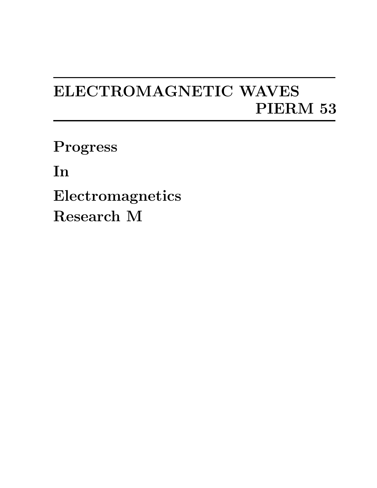## ELECTROMAGNETIC WAVES PIERM 53

Progress

In

Electromagnetics Research M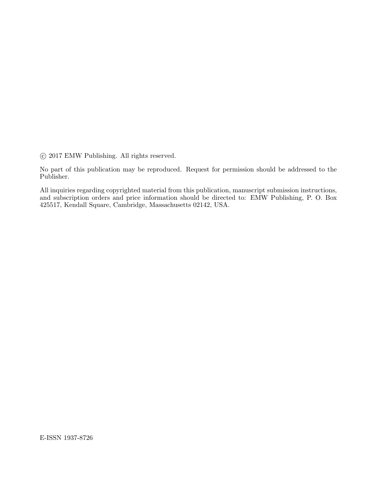°c 2017 EMW Publishing. All rights reserved.

No part of this publication may be reproduced. Request for permission should be addressed to the Publisher.

All inquiries regarding copyrighted material from this publication, manuscript submission instructions, and subscription orders and price information should be directed to: EMW Publishing, P. O. Box 425517, Kendall Square, Cambridge, Massachusetts 02142, USA.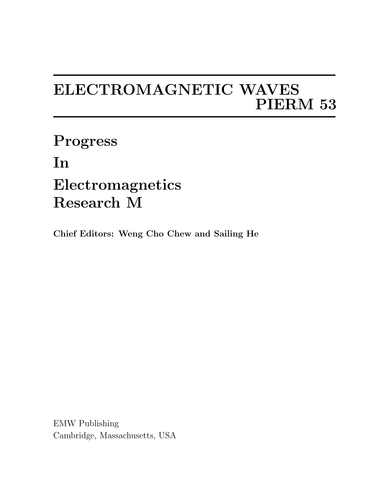## ELECTROMAGNETIC WAVES PIERM 53

Progress In Electromagnetics Research M

Chief Editors: Weng Cho Chew and Sailing He

EMW Publishing Cambridge, Massachusetts, USA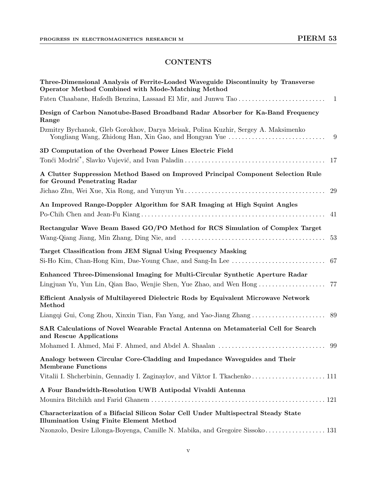## **CONTENTS**

| Three-Dimensional Analysis of Ferrite-Loaded Waveguide Discontinuity by Transverse<br>Operator Method Combined with Mode-Matching Method          |
|---------------------------------------------------------------------------------------------------------------------------------------------------|
|                                                                                                                                                   |
| Design of Carbon Nanotube-Based Broadband Radar Absorber for Ka-Band Frequency<br>Range                                                           |
| Dzmitry Bychanok, Gleb Gorokhov, Darya Meisak, Polina Kuzhir, Sergey A. Maksimenko<br>Yongliang Wang, Zhidong Han, Xin Gao, and Hongyan Yue<br>-9 |
| 3D Computation of the Overhead Power Lines Electric Field<br>-17                                                                                  |
| A Clutter Suppression Method Based on Improved Principal Component Selection Rule<br>for Ground Penetrating Radar<br>29                           |
| An Improved Range-Doppler Algorithm for SAR Imaging at High Squint Angles<br>41                                                                   |
| Rectangular Wave Beam Based GO/PO Method for RCS Simulation of Complex Target<br>-53                                                              |
| Target Classification from JEM Signal Using Frequency Masking<br>67                                                                               |
| Enhanced Three-Dimensional Imaging for Multi-Circular Synthetic Aperture Radar                                                                    |
| Efficient Analysis of Multilayered Dielectric Rods by Equivalent Microwave Network<br>Method                                                      |
|                                                                                                                                                   |
| SAR Calculations of Novel Wearable Fractal Antenna on Metamaterial Cell for Search<br>and Rescue Applications                                     |
| -99                                                                                                                                               |
| Analogy between Circular Core-Cladding and Impedance Waveguides and Their<br><b>Membrane Functions</b>                                            |
|                                                                                                                                                   |
| A Four Bandwidth-Resolution UWB Antipodal Vivaldi Antenna                                                                                         |
| Characterization of a Bifacial Silicon Solar Cell Under Multispectral Steady State<br><b>Illumination Using Finite Element Method</b>             |
| Nzonzolo, Desire Lilonga-Boyenga, Camille N. Mabika, and Gregoire Sissoko 131                                                                     |